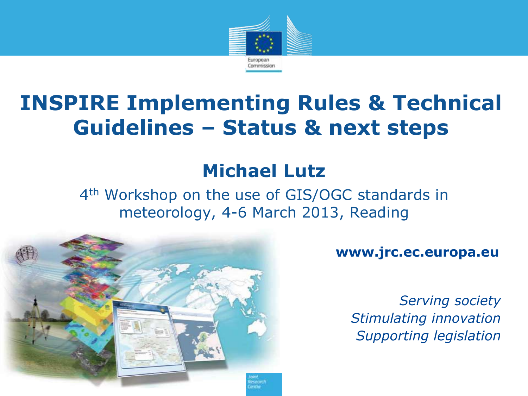

### **INSPIRE Implementing Rules & Technical Guidelines – Status & next steps**

#### **Michael Lutz**

4<sup>th</sup> Workshop on the use of GIS/OGC standards in meteorology, 4-6 March 2013, Reading



**www.jrc.ec.europa.eu** 

*Serving society Stimulating innovation Supporting legislation*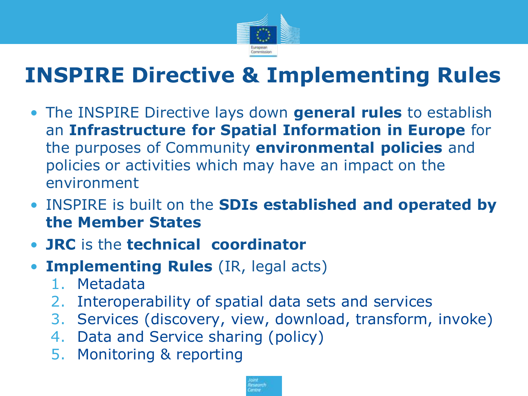

## **INSPIRE Directive & Implementing Rules**

- The INSPIRE Directive lays down **general rules** to establish an **Infrastructure for Spatial Information in Europe** for the purposes of Community **environmental policies** and policies or activities which may have an impact on the environment
- INSPIRE is built on the **SDIs established and operated by the Member States**
- **JRC** is the **technical coordinator**
- **Implementing Rules** (IR, legal acts)
	- 1. Metadata
	- 2. Interoperability of spatial data sets and services
	- 3. Services (discovery, view, download, transform, invoke)
	- 4. Data and Service sharing (policy)
	- 5. Monitoring & reporting

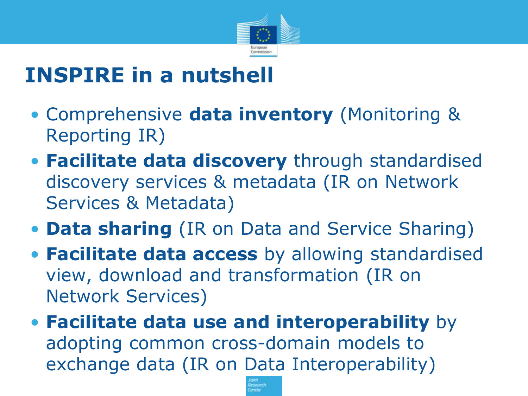

### **INSPIRE in a nutshell**

- Comprehensive **data inventory** (Monitoring & Reporting IR)
- **Facilitate data discovery** through standardised discovery services & metadata (IR on Network Services & Metadata)
- **Data sharing** (IR on Data and Service Sharing)
- **Facilitate data access** by allowing standardised view, download and transformation (IR on Network Services)
- **Facilitate data use and interoperability** by adopting common cross-domain models to exchange data (IR on Data Interoperability)

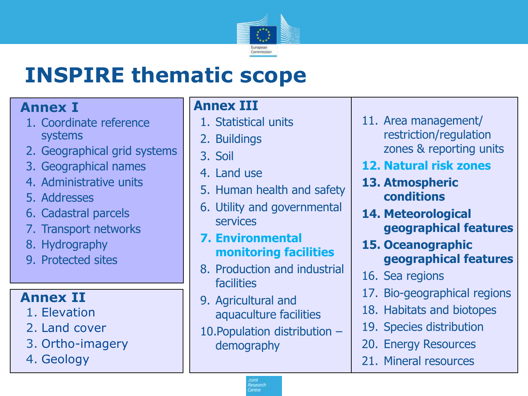

# **INSPIRE thematic scope**

#### **Annex I**

- 1. Coordinate reference systems
- 2. Geographical grid systems
- 3. Geographical names
- 4. Administrative units
- 5. Addresses
- 6. Cadastral parcels
- 7. Transport networks
- 8. Hydrography
- 9. Protected sites

#### **Annex II**

- 1. Elevation
- 2. Land cover
- 3. Ortho-imagery
- 4. Geology

#### **Annex III**

- 1. Statistical units
- 2. Buildings
- 3. Soil
- 4. Land use
- 5. Human health and safety
- 6. Utility and governmental services
- **7. Environmental monitoring facilities**
- 8. Production and industrial facilities
- 9. Agricultural and aquaculture facilities
- 10.Population distribution demography
- 11. Area management/ restriction/regulation zones & reporting units
- **12. Natural risk zones**
- **13. Atmospheric conditions**
- **14. Meteorological geographical features**
- **15. Oceanographic geographical features**
- 16. Sea regions
- 17. Bio-geographical regions
- 18. Habitats and biotopes
- 19. Species distribution
- 20. Energy Resources
- 21. Mineral resources

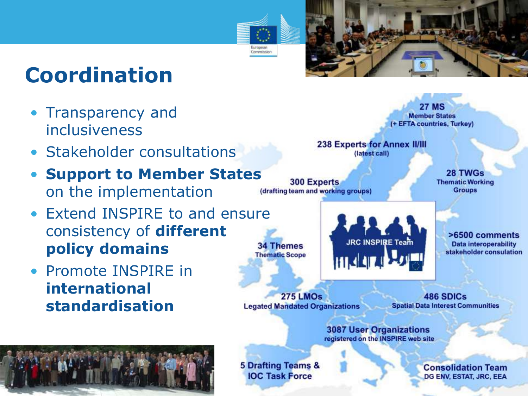## **Coordination**

- Transparency and inclusiveness
- Stakeholder consultations
- **Support to Member States** on the implementation
- Extend INSPIRE to and ensure consistency of **different 34 Themes policy domains Thematic Scope**
- Promote INSPIRE in **international standardisation**

**Member States** (+ EFTA countries, Turkey)

**27 MS** 

238 Experts for Annex II/III (latest call)

**300 Experts** (drafting team and working groups)

28 TWGs **Thematic Working Groups** 



>6500 comments Data interoperability stakeholder consulation

**275 LMOs Legated Mandated Organizations** 

486 SDICs **Spatial Data Interest Communities** 

**3087 User Organizations** registered on the INSPIRE web site



**5 Drafting Teams & IOC Task Force** 

Comeridatio

**Consolidation Team** DG ENV, ESTAT, JRC, EEA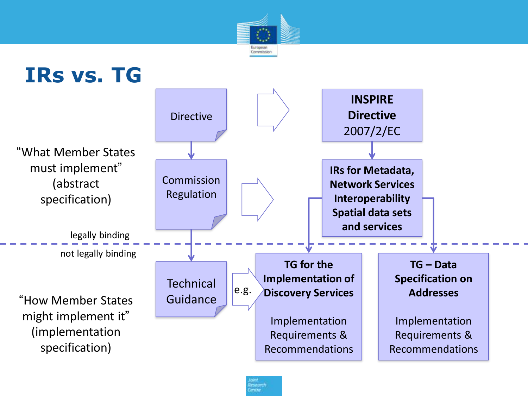

### **IRs vs. TG**

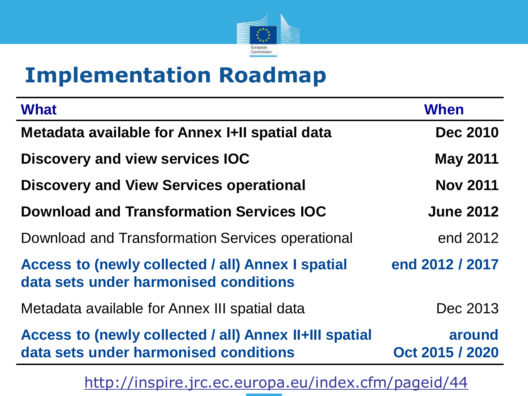

### **Implementation Roadmap**

| <b>When</b>               |
|---------------------------|
| <b>Dec 2010</b>           |
| <b>May 2011</b>           |
| <b>Nov 2011</b>           |
| <b>June 2012</b>          |
| end 2012                  |
| end 2012 / 2017           |
| Dec 2013                  |
| around<br>Oct 2015 / 2020 |
|                           |

<http://inspire.jrc.ec.europa.eu/index.cfm/pageid/44>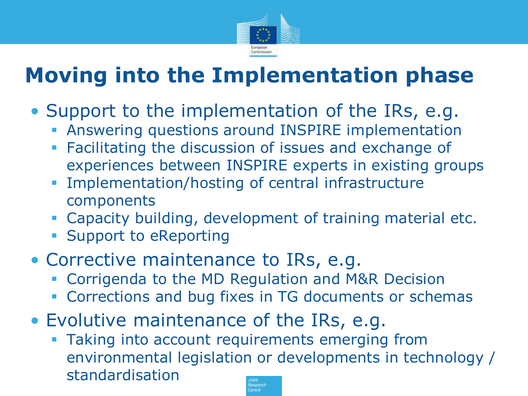

# **Moving into the Implementation phase**

- Support to the implementation of the IRs, e.g.
	- **Answering questions around INSPIRE implementation**
	- Facilitating the discussion of issues and exchange of experiences between INSPIRE experts in existing groups
	- **Implementation/hosting of central infrastructure** components
	- Capacity building, development of training material etc.
	- **Support to eReporting**
- Corrective maintenance to IRs, e.g.
	- **Corrigenda to the MD Regulation and M&R Decision**
	- **Corrections and bug fixes in TG documents or schemas**
- Evolutive maintenance of the IRs, e.g.
	- Taking into account requirements emerging from environmental legislation or developments in technology / standardisation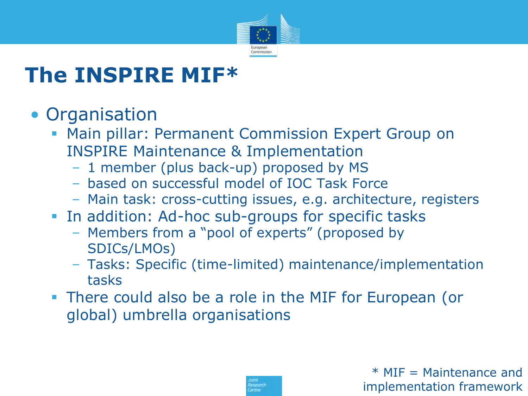

# **The INSPIRE MIF\***

#### • Organisation

- **Main pillar: Permanent Commission Expert Group on** INSPIRE Maintenance & Implementation
	- 1 member (plus back-up) proposed by MS
	- based on successful model of IOC Task Force
	- Main task: cross-cutting issues, e.g. architecture, registers
- **In addition: Ad-hoc sub-groups for specific tasks** 
	- Members from a "pool of experts" (proposed by SDICs/LMOs)
	- Tasks: Specific (time-limited) maintenance/implementation tasks
- There could also be a role in the MIF for European (or global) umbrella organisations

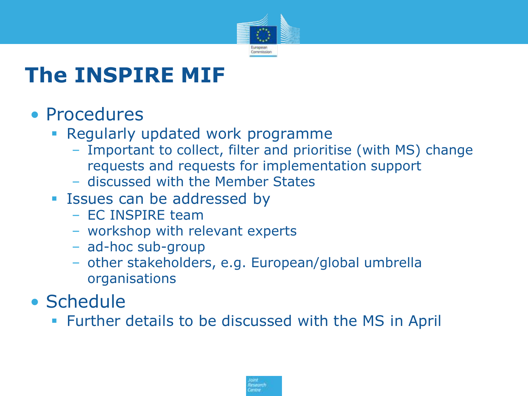

# **The INSPIRE MIF**

#### • Procedures

- **Regularly updated work programme** 
	- Important to collect, filter and prioritise (with MS) change requests and requests for implementation support
	- discussed with the Member States
- **Example 3 Issues can be addressed by** 
	- EC INSPIRE team
	- workshop with relevant experts
	- ad-hoc sub-group
	- other stakeholders, e.g. European/global umbrella organisations
- Schedule
	- **Further details to be discussed with the MS in April**